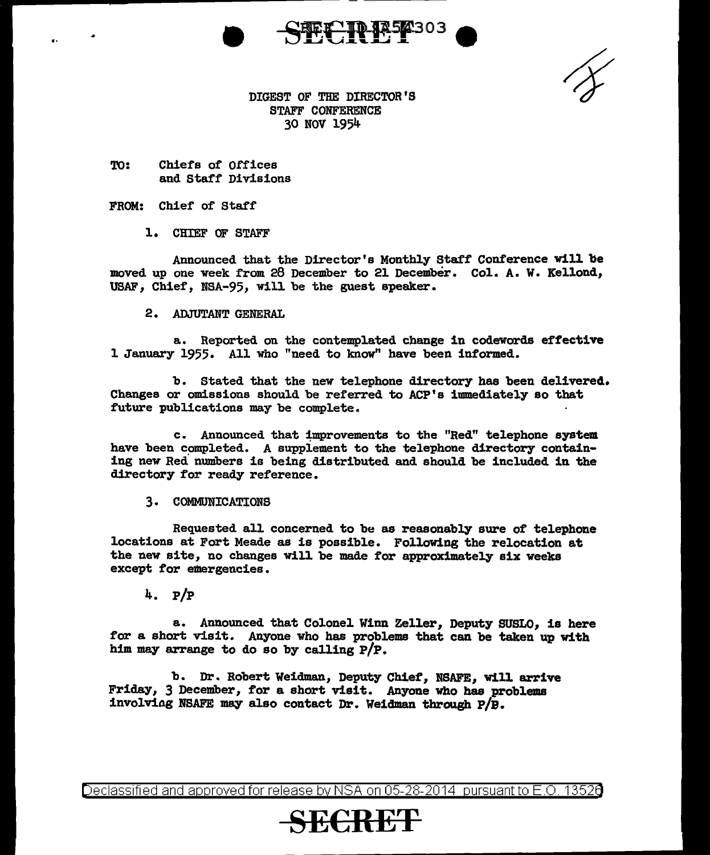

DIGEST OF THE DIRECTOR'S STAFF CONFERENCE 30 NOV 1954

TO: Chiefs of Offices and Staff Divisions

### FROM: Chief of Staff

..

#### l. CHIEF OF STAFF

Announced that the Director's Monthly Staff Conference will be moved up one week from 28 December to 21 December. Col. A. W. Kellond, USAF, Chief, NSA-95, will be the guest speaker.

2. ADJUTANT GENERAL

a. Reported on the contemplated change in codewords effective l January 1955. All who "need to know" have been informed.

b. Stated that the new telephone directory has been delivered. Changes or omissions should be referred to ACP's immediately so that future publications may be complete.

c. Announced that improvements to the "Red" telephone system have been completed. A supplement to the telephone directory containing new Red numbers is being distributed and should be included in the directory for ready reference.

3. COMMUNICATIONS

Requested all concerned to be as reasonably sure of telephone locations at Fort Meade as is possible. Following the relocation at the new site, no changes will be made for approximately six weeks except for emergencies.

4. P/P

a. Announced that Colonel Winn Zeller, Deputy SUSLO, is here *tor* a short visit. Anyone who has problems that can be taken up with him may arrange to do so by calling P/P.

b. Dr. Robert Weidman, Deputy Chief, NSAFE, will arrive Friday, 3 December, for a short visit. Anyone who has problems involviag NSAFE may also contact Dr. Weidman through P/B.

Declassified and approved for release by NSA on 05-28-2014  $\,$  pursuant to E.O. 1352 $d$ 

# **SE€RET**